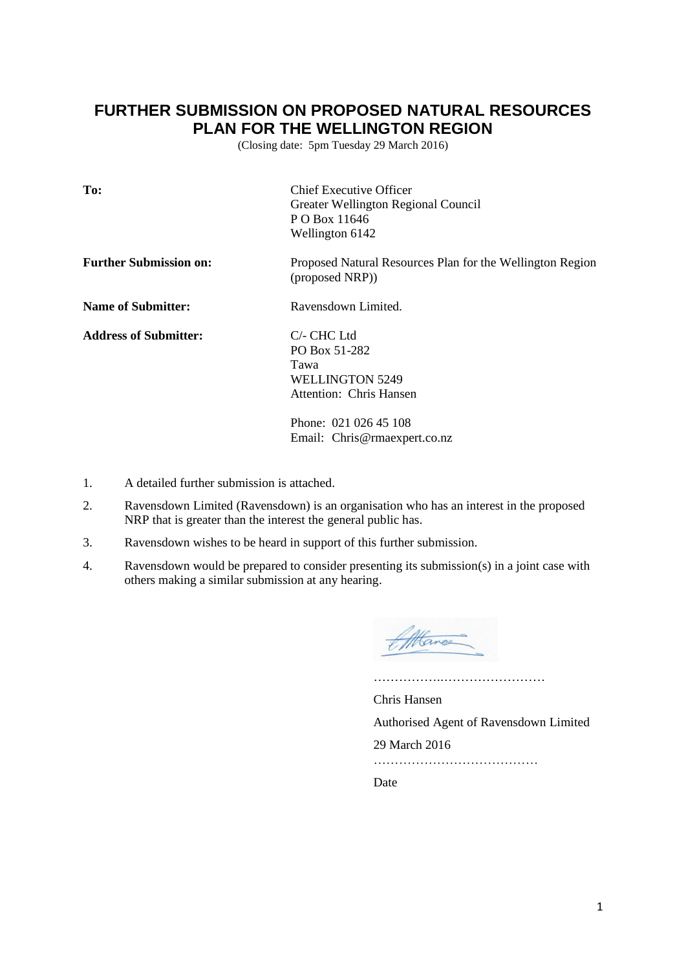## **FURTHER SUBMISSION ON PROPOSED NATURAL RESOURCES PLAN FOR THE WELLINGTON REGION**

(Closing date: 5pm Tuesday 29 March 2016)

| To:                           | <b>Chief Executive Officer</b><br>Greater Wellington Regional Council<br>PO Box 11646<br>Wellington 6142 |
|-------------------------------|----------------------------------------------------------------------------------------------------------|
| <b>Further Submission on:</b> | Proposed Natural Resources Plan for the Wellington Region<br>(proposed NRP))                             |
| <b>Name of Submitter:</b>     | Ravensdown Limited.                                                                                      |
| <b>Address of Submitter:</b>  | $C$ - CHC Ltd<br>PO Box 51-282<br>Tawa<br><b>WELLINGTON 5249</b><br>Attention: Chris Hansen              |
|                               | Phone: 021 026 45 108<br>Email: Chris@rmaexpert.co.nz                                                    |

- 1. A detailed further submission is attached.
- 2. Ravensdown Limited (Ravensdown) is an organisation who has an interest in the proposed NRP that is greater than the interest the general public has.
- 3. Ravensdown wishes to be heard in support of this further submission.
- 4. Ravensdown would be prepared to consider presenting its submission(s) in a joint case with others making a similar submission at any hearing.

tanee

……………..……………………

Chris Hansen Authorised Agent of Ravensdown Limited 29 March 2016 ………………………………… Date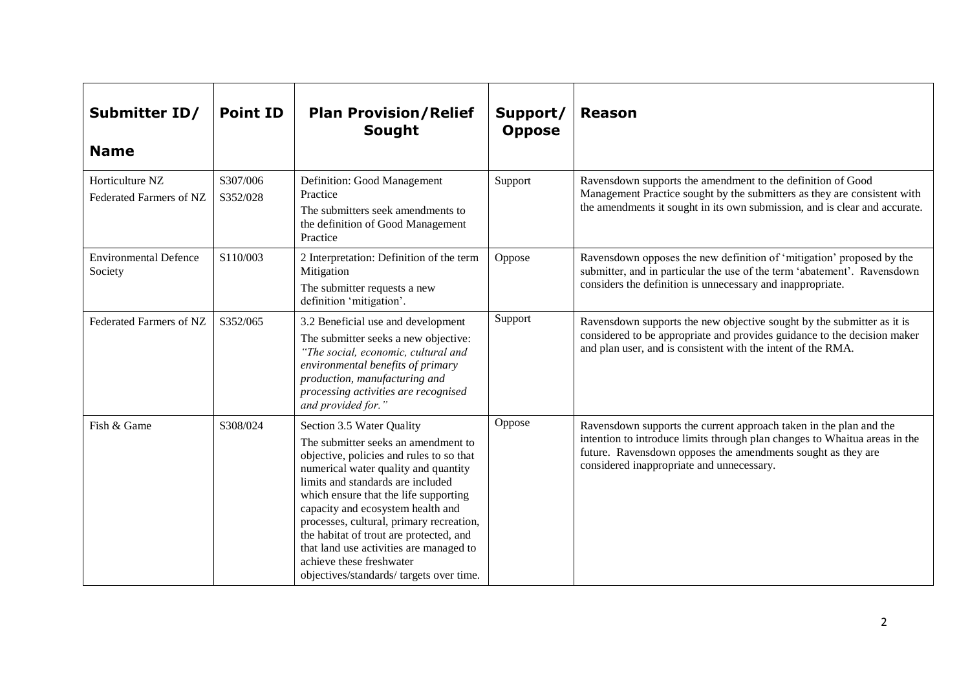| Submitter ID/<br><b>Name</b>               | <b>Point ID</b>      | <b>Plan Provision/Relief</b><br>Sought                                                                                                                                                                                                                                                                                                                                                                                                                                           | Support/<br><b>Oppose</b> | <b>Reason</b>                                                                                                                                                                                                                                                 |
|--------------------------------------------|----------------------|----------------------------------------------------------------------------------------------------------------------------------------------------------------------------------------------------------------------------------------------------------------------------------------------------------------------------------------------------------------------------------------------------------------------------------------------------------------------------------|---------------------------|---------------------------------------------------------------------------------------------------------------------------------------------------------------------------------------------------------------------------------------------------------------|
| Horticulture NZ<br>Federated Farmers of NZ | S307/006<br>S352/028 | Definition: Good Management<br>Practice<br>The submitters seek amendments to<br>the definition of Good Management<br>Practice                                                                                                                                                                                                                                                                                                                                                    | Support                   | Ravensdown supports the amendment to the definition of Good<br>Management Practice sought by the submitters as they are consistent with<br>the amendments it sought in its own submission, and is clear and accurate.                                         |
| <b>Environmental Defence</b><br>Society    | S110/003             | 2 Interpretation: Definition of the term<br>Mitigation<br>The submitter requests a new<br>definition 'mitigation'.                                                                                                                                                                                                                                                                                                                                                               | Oppose                    | Ravensdown opposes the new definition of 'mitigation' proposed by the<br>submitter, and in particular the use of the term 'abatement'. Ravensdown<br>considers the definition is unnecessary and inappropriate.                                               |
| Federated Farmers of NZ                    | S352/065             | 3.2 Beneficial use and development<br>The submitter seeks a new objective:<br>"The social, economic, cultural and<br>environmental benefits of primary<br>production, manufacturing and<br>processing activities are recognised<br>and provided for."                                                                                                                                                                                                                            | Support                   | Ravensdown supports the new objective sought by the submitter as it is<br>considered to be appropriate and provides guidance to the decision maker<br>and plan user, and is consistent with the intent of the RMA.                                            |
| Fish & Game                                | S308/024             | Section 3.5 Water Quality<br>The submitter seeks an amendment to<br>objective, policies and rules to so that<br>numerical water quality and quantity<br>limits and standards are included<br>which ensure that the life supporting<br>capacity and ecosystem health and<br>processes, cultural, primary recreation,<br>the habitat of trout are protected, and<br>that land use activities are managed to<br>achieve these freshwater<br>objectives/standards/targets over time. | Oppose                    | Ravensdown supports the current approach taken in the plan and the<br>intention to introduce limits through plan changes to Whaitua areas in the<br>future. Ravensdown opposes the amendments sought as they are<br>considered inappropriate and unnecessary. |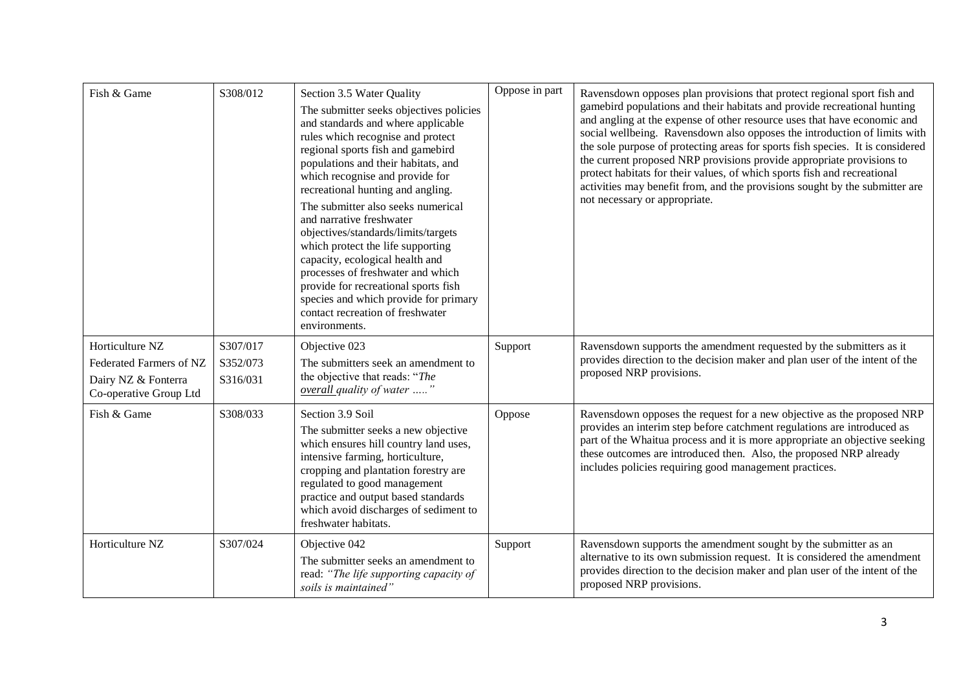| Fish & Game                                                                                 | S308/012                         | Section 3.5 Water Quality<br>The submitter seeks objectives policies<br>and standards and where applicable<br>rules which recognise and protect<br>regional sports fish and gamebird<br>populations and their habitats, and<br>which recognise and provide for<br>recreational hunting and angling.<br>The submitter also seeks numerical<br>and narrative freshwater<br>objectives/standards/limits/targets<br>which protect the life supporting<br>capacity, ecological health and<br>processes of freshwater and which<br>provide for recreational sports fish<br>species and which provide for primary<br>contact recreation of freshwater<br>environments. | Oppose in part | Ravensdown opposes plan provisions that protect regional sport fish and<br>gamebird populations and their habitats and provide recreational hunting<br>and angling at the expense of other resource uses that have economic and<br>social wellbeing. Ravensdown also opposes the introduction of limits with<br>the sole purpose of protecting areas for sports fish species. It is considered<br>the current proposed NRP provisions provide appropriate provisions to<br>protect habitats for their values, of which sports fish and recreational<br>activities may benefit from, and the provisions sought by the submitter are<br>not necessary or appropriate. |
|---------------------------------------------------------------------------------------------|----------------------------------|-----------------------------------------------------------------------------------------------------------------------------------------------------------------------------------------------------------------------------------------------------------------------------------------------------------------------------------------------------------------------------------------------------------------------------------------------------------------------------------------------------------------------------------------------------------------------------------------------------------------------------------------------------------------|----------------|---------------------------------------------------------------------------------------------------------------------------------------------------------------------------------------------------------------------------------------------------------------------------------------------------------------------------------------------------------------------------------------------------------------------------------------------------------------------------------------------------------------------------------------------------------------------------------------------------------------------------------------------------------------------|
| Horticulture NZ<br>Federated Farmers of NZ<br>Dairy NZ & Fonterra<br>Co-operative Group Ltd | S307/017<br>S352/073<br>S316/031 | Objective 023<br>The submitters seek an amendment to<br>the objective that reads: "The<br>overall quality of water "                                                                                                                                                                                                                                                                                                                                                                                                                                                                                                                                            | Support        | Ravensdown supports the amendment requested by the submitters as it<br>provides direction to the decision maker and plan user of the intent of the<br>proposed NRP provisions.                                                                                                                                                                                                                                                                                                                                                                                                                                                                                      |
| Fish & Game                                                                                 | S308/033                         | Section 3.9 Soil<br>The submitter seeks a new objective<br>which ensures hill country land uses,<br>intensive farming, horticulture,<br>cropping and plantation forestry are<br>regulated to good management<br>practice and output based standards<br>which avoid discharges of sediment to<br>freshwater habitats.                                                                                                                                                                                                                                                                                                                                            | Oppose         | Ravensdown opposes the request for a new objective as the proposed NRP<br>provides an interim step before catchment regulations are introduced as<br>part of the Whaitua process and it is more appropriate an objective seeking<br>these outcomes are introduced then. Also, the proposed NRP already<br>includes policies requiring good management practices.                                                                                                                                                                                                                                                                                                    |
| Horticulture NZ                                                                             | S307/024                         | Objective 042<br>The submitter seeks an amendment to<br>read: "The life supporting capacity of<br>soils is maintained"                                                                                                                                                                                                                                                                                                                                                                                                                                                                                                                                          | Support        | Ravensdown supports the amendment sought by the submitter as an<br>alternative to its own submission request. It is considered the amendment<br>provides direction to the decision maker and plan user of the intent of the<br>proposed NRP provisions.                                                                                                                                                                                                                                                                                                                                                                                                             |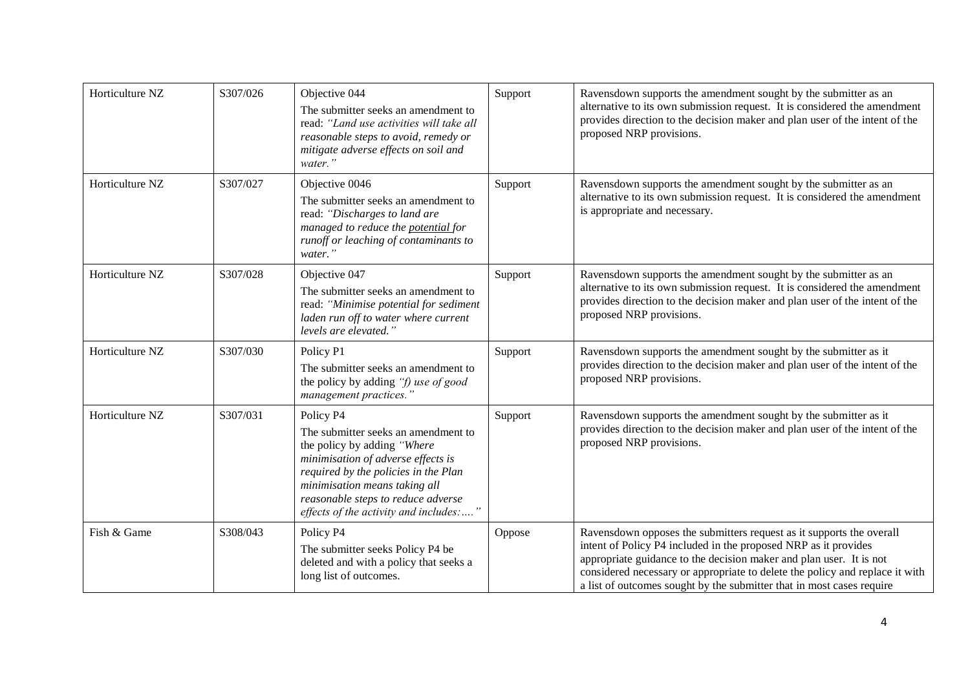| Horticulture NZ | S307/026 | Objective 044<br>The submitter seeks an amendment to<br>read: "Land use activities will take all<br>reasonable steps to avoid, remedy or<br>mitigate adverse effects on soil and<br>water."                                                                                    | Support | Ravensdown supports the amendment sought by the submitter as an<br>alternative to its own submission request. It is considered the amendment<br>provides direction to the decision maker and plan user of the intent of the<br>proposed NRP provisions.                                                                                                                 |
|-----------------|----------|--------------------------------------------------------------------------------------------------------------------------------------------------------------------------------------------------------------------------------------------------------------------------------|---------|-------------------------------------------------------------------------------------------------------------------------------------------------------------------------------------------------------------------------------------------------------------------------------------------------------------------------------------------------------------------------|
| Horticulture NZ | S307/027 | Objective 0046<br>The submitter seeks an amendment to<br>read: "Discharges to land are<br>managed to reduce the potential for<br>runoff or leaching of contaminants to<br>water."                                                                                              | Support | Ravensdown supports the amendment sought by the submitter as an<br>alternative to its own submission request. It is considered the amendment<br>is appropriate and necessary.                                                                                                                                                                                           |
| Horticulture NZ | S307/028 | Objective 047<br>The submitter seeks an amendment to<br>read: "Minimise potential for sediment<br>laden run off to water where current<br>levels are elevated."                                                                                                                | Support | Ravensdown supports the amendment sought by the submitter as an<br>alternative to its own submission request. It is considered the amendment<br>provides direction to the decision maker and plan user of the intent of the<br>proposed NRP provisions.                                                                                                                 |
| Horticulture NZ | S307/030 | Policy P1<br>The submitter seeks an amendment to<br>the policy by adding " $f$ ) use of good<br>management practices."                                                                                                                                                         | Support | Ravensdown supports the amendment sought by the submitter as it<br>provides direction to the decision maker and plan user of the intent of the<br>proposed NRP provisions.                                                                                                                                                                                              |
| Horticulture NZ | S307/031 | Policy P4<br>The submitter seeks an amendment to<br>the policy by adding "Where<br>minimisation of adverse effects is<br>required by the policies in the Plan<br>minimisation means taking all<br>reasonable steps to reduce adverse<br>effects of the activity and includes:" | Support | Ravensdown supports the amendment sought by the submitter as it<br>provides direction to the decision maker and plan user of the intent of the<br>proposed NRP provisions.                                                                                                                                                                                              |
| Fish & Game     | S308/043 | Policy P4<br>The submitter seeks Policy P4 be<br>deleted and with a policy that seeks a<br>long list of outcomes.                                                                                                                                                              | Oppose  | Ravensdown opposes the submitters request as it supports the overall<br>intent of Policy P4 included in the proposed NRP as it provides<br>appropriate guidance to the decision maker and plan user. It is not<br>considered necessary or appropriate to delete the policy and replace it with<br>a list of outcomes sought by the submitter that in most cases require |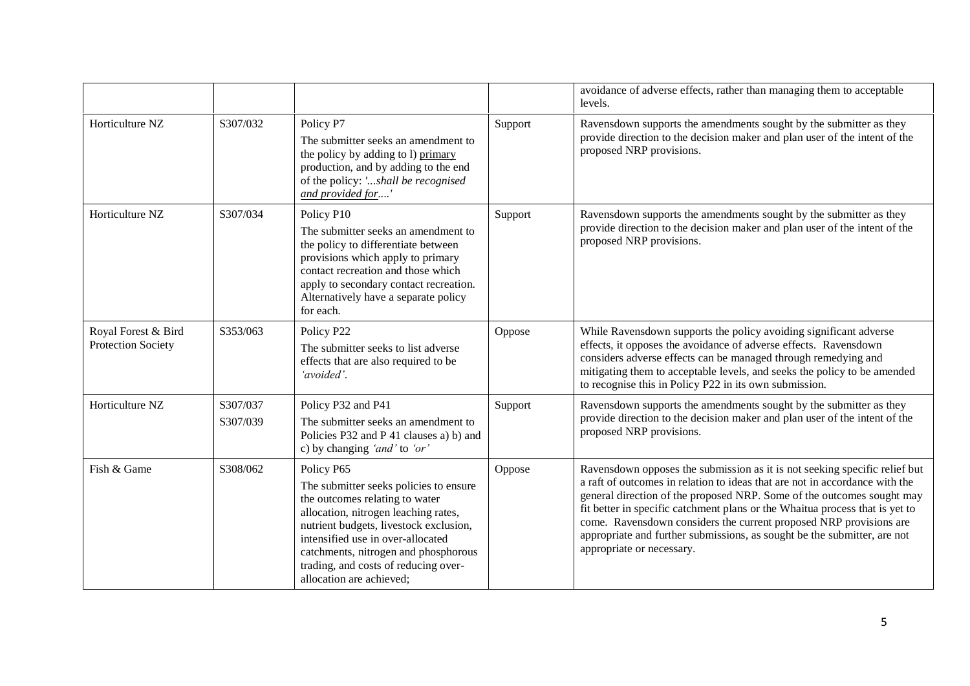|                                                  |                      |                                                                                                                                                                                                                                                                                                                           |         | avoidance of adverse effects, rather than managing them to acceptable<br>levels.                                                                                                                                                                                                                                                                                                                                                                                                                   |
|--------------------------------------------------|----------------------|---------------------------------------------------------------------------------------------------------------------------------------------------------------------------------------------------------------------------------------------------------------------------------------------------------------------------|---------|----------------------------------------------------------------------------------------------------------------------------------------------------------------------------------------------------------------------------------------------------------------------------------------------------------------------------------------------------------------------------------------------------------------------------------------------------------------------------------------------------|
| Horticulture NZ                                  | S307/032             | Policy P7<br>The submitter seeks an amendment to<br>the policy by adding to 1) primary<br>production, and by adding to the end<br>of the policy: 'shall be recognised<br>and provided for'                                                                                                                                | Support | Ravensdown supports the amendments sought by the submitter as they<br>provide direction to the decision maker and plan user of the intent of the<br>proposed NRP provisions.                                                                                                                                                                                                                                                                                                                       |
| Horticulture NZ                                  | S307/034             | Policy P10<br>The submitter seeks an amendment to<br>the policy to differentiate between<br>provisions which apply to primary<br>contact recreation and those which<br>apply to secondary contact recreation.<br>Alternatively have a separate policy<br>for each.                                                        | Support | Ravensdown supports the amendments sought by the submitter as they<br>provide direction to the decision maker and plan user of the intent of the<br>proposed NRP provisions.                                                                                                                                                                                                                                                                                                                       |
| Royal Forest & Bird<br><b>Protection Society</b> | S353/063             | Policy P22<br>The submitter seeks to list adverse<br>effects that are also required to be<br>'avoided'.                                                                                                                                                                                                                   | Oppose  | While Ravensdown supports the policy avoiding significant adverse<br>effects, it opposes the avoidance of adverse effects. Ravensdown<br>considers adverse effects can be managed through remedying and<br>mitigating them to acceptable levels, and seeks the policy to be amended<br>to recognise this in Policy P22 in its own submission.                                                                                                                                                      |
| Horticulture NZ                                  | S307/037<br>S307/039 | Policy P32 and P41<br>The submitter seeks an amendment to<br>Policies P32 and P 41 clauses a) b) and<br>c) by changing 'and' to 'or'                                                                                                                                                                                      | Support | Ravensdown supports the amendments sought by the submitter as they<br>provide direction to the decision maker and plan user of the intent of the<br>proposed NRP provisions.                                                                                                                                                                                                                                                                                                                       |
| Fish & Game                                      | S308/062             | Policy P65<br>The submitter seeks policies to ensure<br>the outcomes relating to water<br>allocation, nitrogen leaching rates,<br>nutrient budgets, livestock exclusion,<br>intensified use in over-allocated<br>catchments, nitrogen and phosphorous<br>trading, and costs of reducing over-<br>allocation are achieved; | Oppose  | Ravensdown opposes the submission as it is not seeking specific relief but<br>a raft of outcomes in relation to ideas that are not in accordance with the<br>general direction of the proposed NRP. Some of the outcomes sought may<br>fit better in specific catchment plans or the Whaitua process that is yet to<br>come. Ravensdown considers the current proposed NRP provisions are<br>appropriate and further submissions, as sought be the submitter, are not<br>appropriate or necessary. |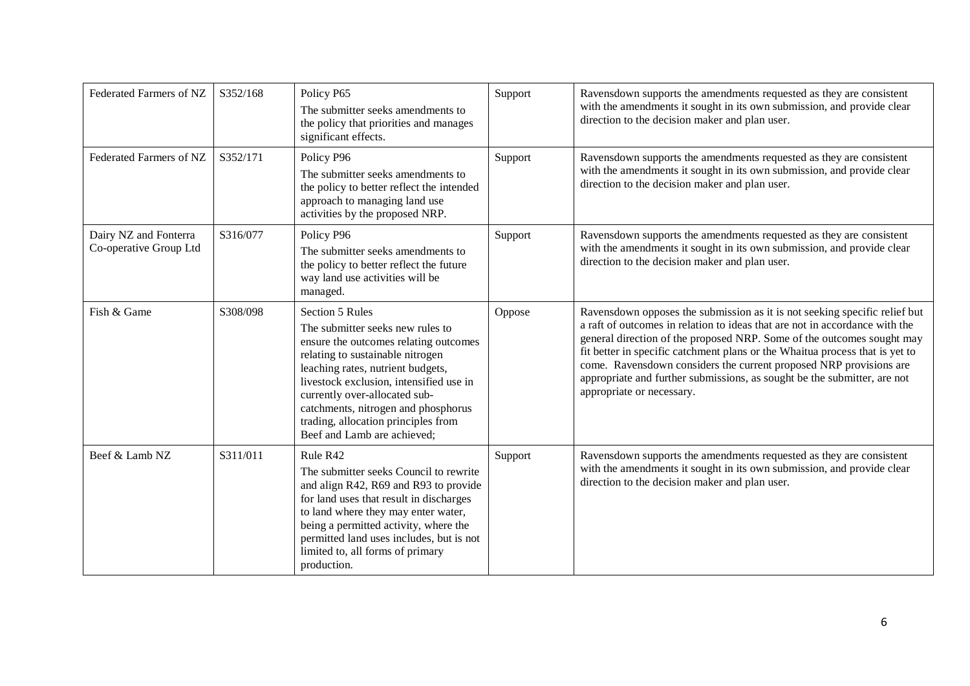| Federated Farmers of NZ                         | S352/168 | Policy P65<br>The submitter seeks amendments to<br>the policy that priorities and manages<br>significant effects.                                                                                                                                                                                                                                                     | Support | Ravensdown supports the amendments requested as they are consistent<br>with the amendments it sought in its own submission, and provide clear<br>direction to the decision maker and plan user.                                                                                                                                                                                                                                                                                                    |
|-------------------------------------------------|----------|-----------------------------------------------------------------------------------------------------------------------------------------------------------------------------------------------------------------------------------------------------------------------------------------------------------------------------------------------------------------------|---------|----------------------------------------------------------------------------------------------------------------------------------------------------------------------------------------------------------------------------------------------------------------------------------------------------------------------------------------------------------------------------------------------------------------------------------------------------------------------------------------------------|
| Federated Farmers of NZ                         | S352/171 | Policy P96<br>The submitter seeks amendments to<br>the policy to better reflect the intended<br>approach to managing land use<br>activities by the proposed NRP.                                                                                                                                                                                                      | Support | Ravensdown supports the amendments requested as they are consistent<br>with the amendments it sought in its own submission, and provide clear<br>direction to the decision maker and plan user.                                                                                                                                                                                                                                                                                                    |
| Dairy NZ and Fonterra<br>Co-operative Group Ltd | S316/077 | Policy P96<br>The submitter seeks amendments to<br>the policy to better reflect the future<br>way land use activities will be<br>managed.                                                                                                                                                                                                                             | Support | Ravensdown supports the amendments requested as they are consistent<br>with the amendments it sought in its own submission, and provide clear<br>direction to the decision maker and plan user.                                                                                                                                                                                                                                                                                                    |
| Fish & Game                                     | S308/098 | <b>Section 5 Rules</b><br>The submitter seeks new rules to<br>ensure the outcomes relating outcomes<br>relating to sustainable nitrogen<br>leaching rates, nutrient budgets,<br>livestock exclusion, intensified use in<br>currently over-allocated sub-<br>catchments, nitrogen and phosphorus<br>trading, allocation principles from<br>Beef and Lamb are achieved; | Oppose  | Ravensdown opposes the submission as it is not seeking specific relief but<br>a raft of outcomes in relation to ideas that are not in accordance with the<br>general direction of the proposed NRP. Some of the outcomes sought may<br>fit better in specific catchment plans or the Whaitua process that is yet to<br>come. Ravensdown considers the current proposed NRP provisions are<br>appropriate and further submissions, as sought be the submitter, are not<br>appropriate or necessary. |
| Beef & Lamb NZ                                  | S311/011 | Rule R42<br>The submitter seeks Council to rewrite<br>and align R42, R69 and R93 to provide<br>for land uses that result in discharges<br>to land where they may enter water,<br>being a permitted activity, where the<br>permitted land uses includes, but is not<br>limited to, all forms of primary<br>production.                                                 | Support | Ravensdown supports the amendments requested as they are consistent<br>with the amendments it sought in its own submission, and provide clear<br>direction to the decision maker and plan user.                                                                                                                                                                                                                                                                                                    |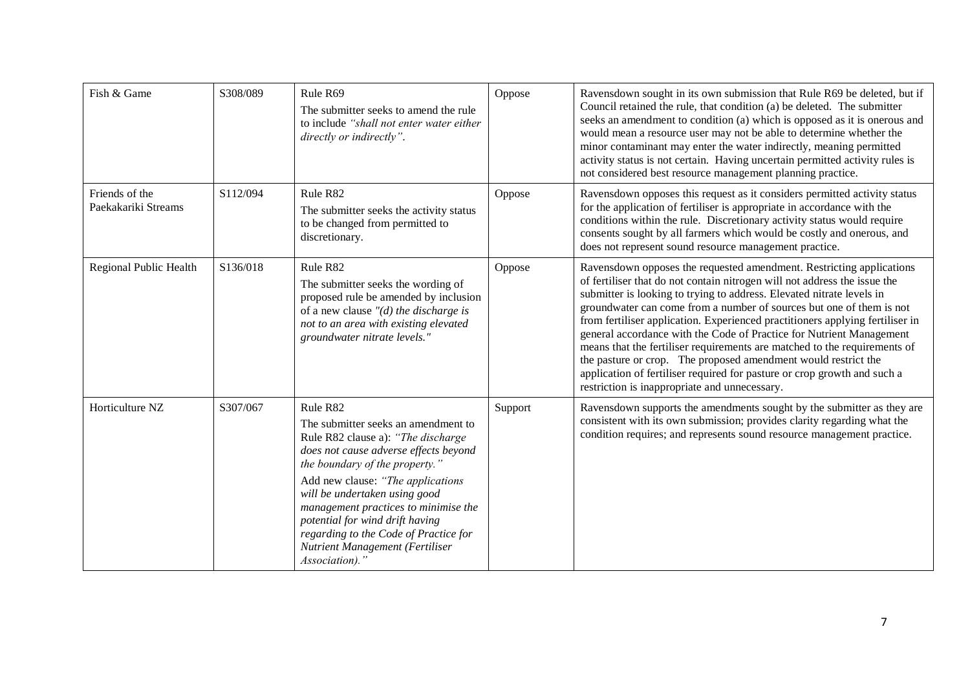| Fish & Game                           | S308/089 | Rule R69<br>The submitter seeks to amend the rule<br>to include "shall not enter water either<br>directly or indirectly".                                                                                                                                                                                                                                                                                       | Oppose  | Ravensdown sought in its own submission that Rule R69 be deleted, but if<br>Council retained the rule, that condition (a) be deleted. The submitter<br>seeks an amendment to condition (a) which is opposed as it is onerous and<br>would mean a resource user may not be able to determine whether the<br>minor contaminant may enter the water indirectly, meaning permitted<br>activity status is not certain. Having uncertain permitted activity rules is<br>not considered best resource management planning practice.                                                                                                                                                                                                            |
|---------------------------------------|----------|-----------------------------------------------------------------------------------------------------------------------------------------------------------------------------------------------------------------------------------------------------------------------------------------------------------------------------------------------------------------------------------------------------------------|---------|-----------------------------------------------------------------------------------------------------------------------------------------------------------------------------------------------------------------------------------------------------------------------------------------------------------------------------------------------------------------------------------------------------------------------------------------------------------------------------------------------------------------------------------------------------------------------------------------------------------------------------------------------------------------------------------------------------------------------------------------|
| Friends of the<br>Paekakariki Streams | S112/094 | Rule R82<br>The submitter seeks the activity status<br>to be changed from permitted to<br>discretionary.                                                                                                                                                                                                                                                                                                        | Oppose  | Ravensdown opposes this request as it considers permitted activity status<br>for the application of fertiliser is appropriate in accordance with the<br>conditions within the rule. Discretionary activity status would require<br>consents sought by all farmers which would be costly and onerous, and<br>does not represent sound resource management practice.                                                                                                                                                                                                                                                                                                                                                                      |
| Regional Public Health                | S136/018 | Rule R82<br>The submitter seeks the wording of<br>proposed rule be amended by inclusion<br>of a new clause $''(d)$ the discharge is<br>not to an area with existing elevated<br>groundwater nitrate levels."                                                                                                                                                                                                    | Oppose  | Ravensdown opposes the requested amendment. Restricting applications<br>of fertiliser that do not contain nitrogen will not address the issue the<br>submitter is looking to trying to address. Elevated nitrate levels in<br>groundwater can come from a number of sources but one of them is not<br>from fertiliser application. Experienced practitioners applying fertiliser in<br>general accordance with the Code of Practice for Nutrient Management<br>means that the fertiliser requirements are matched to the requirements of<br>the pasture or crop. The proposed amendment would restrict the<br>application of fertiliser required for pasture or crop growth and such a<br>restriction is inappropriate and unnecessary. |
| Horticulture NZ                       | S307/067 | Rule R82<br>The submitter seeks an amendment to<br>Rule R82 clause a): "The discharge<br>does not cause adverse effects beyond<br>the boundary of the property."<br>Add new clause: "The applications<br>will be undertaken using good<br>management practices to minimise the<br>potential for wind drift having<br>regarding to the Code of Practice for<br>Nutrient Management (Fertiliser<br>Association)." | Support | Ravensdown supports the amendments sought by the submitter as they are<br>consistent with its own submission; provides clarity regarding what the<br>condition requires; and represents sound resource management practice.                                                                                                                                                                                                                                                                                                                                                                                                                                                                                                             |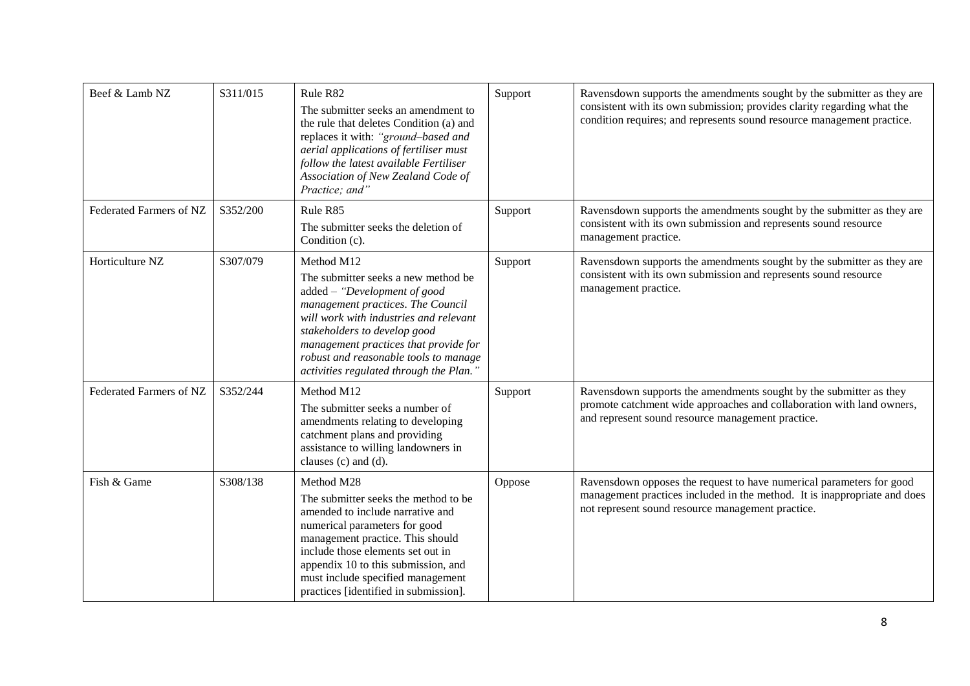| Beef & Lamb NZ          | S311/015 | Rule R82<br>The submitter seeks an amendment to<br>the rule that deletes Condition (a) and<br>replaces it with: "ground-based and<br>aerial applications of fertiliser must<br>follow the latest available Fertiliser<br>Association of New Zealand Code of<br>Practice; and"                                                 | Support | Ravensdown supports the amendments sought by the submitter as they are<br>consistent with its own submission; provides clarity regarding what the<br>condition requires; and represents sound resource management practice. |
|-------------------------|----------|-------------------------------------------------------------------------------------------------------------------------------------------------------------------------------------------------------------------------------------------------------------------------------------------------------------------------------|---------|-----------------------------------------------------------------------------------------------------------------------------------------------------------------------------------------------------------------------------|
| Federated Farmers of NZ | S352/200 | Rule R85<br>The submitter seeks the deletion of<br>Condition (c).                                                                                                                                                                                                                                                             | Support | Ravensdown supports the amendments sought by the submitter as they are<br>consistent with its own submission and represents sound resource<br>management practice.                                                          |
| Horticulture NZ         | S307/079 | Method M12<br>The submitter seeks a new method be<br>added - "Development of good<br>management practices. The Council<br>will work with industries and relevant<br>stakeholders to develop good<br>management practices that provide for<br>robust and reasonable tools to manage<br>activities regulated through the Plan." | Support | Ravensdown supports the amendments sought by the submitter as they are<br>consistent with its own submission and represents sound resource<br>management practice.                                                          |
| Federated Farmers of NZ | S352/244 | Method M12<br>The submitter seeks a number of<br>amendments relating to developing<br>catchment plans and providing<br>assistance to willing landowners in<br>clauses $(c)$ and $(d)$ .                                                                                                                                       | Support | Ravensdown supports the amendments sought by the submitter as they<br>promote catchment wide approaches and collaboration with land owners,<br>and represent sound resource management practice.                            |
| Fish & Game             | S308/138 | Method M28<br>The submitter seeks the method to be<br>amended to include narrative and<br>numerical parameters for good<br>management practice. This should<br>include those elements set out in<br>appendix 10 to this submission, and<br>must include specified management<br>practices [identified in submission].         | Oppose  | Ravensdown opposes the request to have numerical parameters for good<br>management practices included in the method. It is inappropriate and does<br>not represent sound resource management practice.                      |